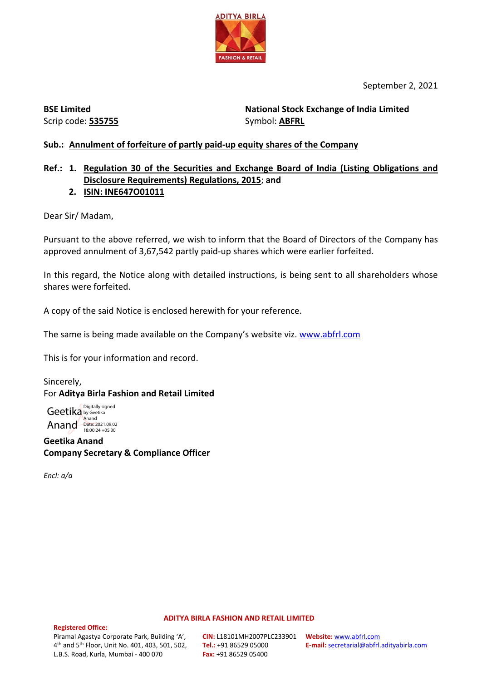

September 2, 2021

**BSE Limited** Scrip code: **535755** **National Stock Exchange of India Limited**  Symbol: **ABFRL**

# **Sub.: Annulment of forfeiture of partly paid-up equity shares of the Company**

# **Ref.: 1. Regulation 30 of the Securities and Exchange Board of India (Listing Obligations and Disclosure Requirements) Regulations, 2015**; **and**

# **2. ISIN: INE647O01011**

Dear Sir/ Madam,

Pursuant to the above referred, we wish to inform that the Board of Directors of the Company has approved annulment of 3,67,542 partly paid-up shares which were earlier forfeited.

In this regard, the Notice along with detailed instructions, is being sent to all shareholders whose shares were forfeited.

A copy of the said Notice is enclosed herewith for your reference.

The same is being made available on the Company's website viz. [www.abfrl.com](http://www.abfrl.com/)

This is for your information and record.

Sincerely, For **Aditya Birla Fashion and Retail Limited**

Geetika by Geetika Anand Date: 2021.09.02 Digitally signed Anand

**Geetika Anand Company Secretary & Compliance Officer**

*Encl: a/a*

#### **ADITYA BIRLA FASHION AND RETAIL LIMITED**

#### **Registered Office:**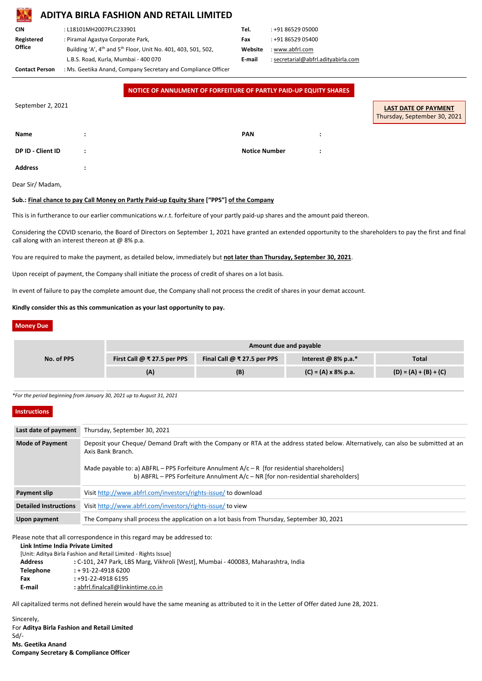# **ADITYA BIRLA FASHION AND RETAIL LIMITED**

| <b>CIN</b>    | : L18101MH2007PLC233901                                                               | Tel.    | : +91 86529 05000   |
|---------------|---------------------------------------------------------------------------------------|---------|---------------------|
| Registered    | : Piramal Agastya Corporate Park,                                                     | Fax     | : +91 86529 05400   |
| <b>Office</b> | Building 'A', 4 <sup>th</sup> and 5 <sup>th</sup> Floor, Unit No. 401, 403, 501, 502, | Website | : www.abfrl.com     |
|               | L.B.S. Road, Kurla, Mumbai - 400 070                                                  | E-mail  | : secretarial@abfrl |
|               | $\mathbf{a}$ . The contract of the contract of $\mathbf{a}$                           |         |                     |

| Tel.    | : +91 86529 05000                   |
|---------|-------------------------------------|
| Fax     | : +91 86529 05400                   |
| Website | : www.abfrl.com                     |
| E-mail  | : secretarial@abfrl.adityabirla.com |
|         |                                     |

**Contact Person** : Ms. Geetika Anand, Company Secretary and Compliance Officer

Considering the COVID scenario, the Board of Directors on September 1, 2021 have granted an extended opportunity to the shareholders to pay the first and final call along with an interest thereon at  $@$  8% p.a.

|                   |         | NOTICE OF ANNULMENT OF FORFEITURE OF PARTLY PAID-UP EQUITY SHARES |                      |                                                             |
|-------------------|---------|-------------------------------------------------------------------|----------------------|-------------------------------------------------------------|
| September 2, 2021 |         |                                                                   |                      | <b>LAST DATE OF PAYMENT</b><br>Thursday, September 30, 2021 |
| <b>Name</b>       |         |                                                                   | <b>PAN</b>           |                                                             |
| DP ID - Client ID | $\cdot$ |                                                                   | <b>Notice Number</b> |                                                             |
| <b>Address</b>    |         |                                                                   |                      |                                                             |

Dear Sir/ Madam,

# **Sub.: Final chance to pay Call Money on Partly Paid-up Equity Share ["PPS"] of the Company**

This is in furtherance to our earlier communications w.r.t. forfeiture of your partly paid-up shares and the amount paid thereon.

You are required to make the payment, as detailed below, immediately but **not later than Thursday, September 30, 2021**.

Upon receipt of payment, the Company shall initiate the process of credit of shares on a lot basis.

In event of failure to pay the complete amount due, the Company shall not process the credit of shares in your demat account.

# **Kindly consider this as this communication as your last opportunity to pay.**

# **Money Due**

|            | Amount due and payable                   |                                          |                                     |                         |  |  |  |
|------------|------------------------------------------|------------------------------------------|-------------------------------------|-------------------------|--|--|--|
| No. of PPS | First Call $\omega \approx 27.5$ per PPS | Final Call $@ \overline{*}$ 27.5 per PPS | Interest @ $8\%$ p.a.*              | <b>Total</b>            |  |  |  |
|            | (A)                                      | (B)                                      | $(C) = (A) \times 8\% \text{ p.a.}$ | $(D) = (A) + (B) + (C)$ |  |  |  |

*\*For the period beginning from January 30, 2021 up to August 31, 2021*

# **Instructions**

| Last date of payment         | Thursday, September 30, 2021                                                                                                                                                                                                                                                                                                                 |
|------------------------------|----------------------------------------------------------------------------------------------------------------------------------------------------------------------------------------------------------------------------------------------------------------------------------------------------------------------------------------------|
| <b>Mode of Payment</b>       | Deposit your Cheque/ Demand Draft with the Company or RTA at the address stated below. Alternatively, can also be submitted at an<br>Axis Bank Branch.<br>Made payable to: a) ABFRL – PPS Forfeiture Annulment $A/c - R$ [for residential shareholders]<br>b) ABFRL - PPS Forfeiture Annulment $A/c$ - NR [for non-residential shareholders] |
| <b>Payment slip</b>          | Visit http://www.abfrl.com/investors/rights-issue/ to download                                                                                                                                                                                                                                                                               |
| <b>Detailed Instructions</b> | Visit http://www.abfrl.com/investors/rights-issue/ to view                                                                                                                                                                                                                                                                                   |

**Upon payment** The Company shall process the application on a lot basis from Thursday, September 30, 2021

Please note that all correspondence in this regard may be addressed to:

# **Link Intime India Private Limited**

[Unit: Aditya Birla Fashion and Retail Limited - Rights Issue]

- **Address :** C-101, 247 Park, LBS Marg, Vikhroli [West], Mumbai 400083, Maharashtra, India
- **Telephone :** + 91-22-4918 6200
- **Fax :** +91-22-4918 6195
- **E-mail :** abfrl.finalcall@linkintime.co.in

All capitalized terms not defined herein would have the same meaning as attributed to it in the Letter of Offer dated June 28, 2021.

Sincerely, For **Aditya Birla Fashion and Retail Limited** Sd/- **Ms. Geetika Anand Company Secretary & Compliance Officer**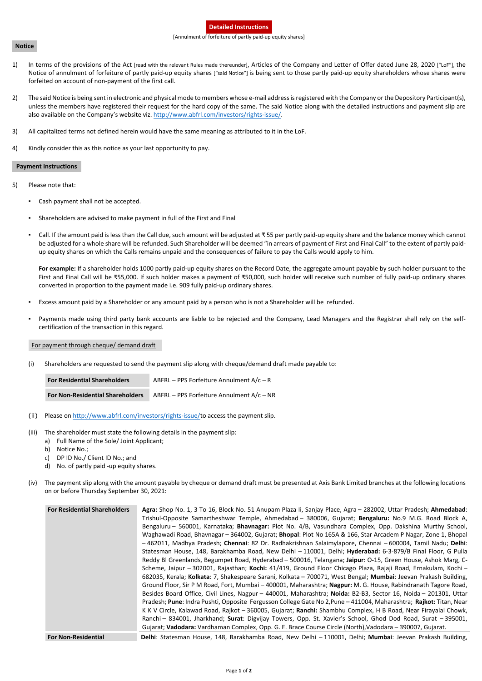# **Detailed Instructions**

#### [Annulment of forfeiture of partly paid-up equity shares]

#### **Notice**

- 1) In terms of the provisions of the Act [read with the relevant Rules made thereunder], Articles of the Company and Letter of Offer dated June 28, 2020 ["LoF"], the Notice of annulment of forfeiture of partly paid-up equity shares ["said Notice"] is being sent to those partly paid-up equity shareholders whose shares were forfeited on account of non-payment of the first call.
- 2) The said Notice is being sent in electronic and physical mode to members whose e-mail address is registered with the Company or the Depository Participant(s), unless the members have registered their request for the hard copy of the same. The said Notice along with the detailed instructions and payment slip are also available on the Company's website viz. [http://www.abfrl.com/investors/rights-issue/.](http://www.abfrl.com/investors/rights-issue/)
- 3) All capitalized terms not defined herein would have the same meaning as attributed to it in the LoF.
- 4) Kindly consider this as this notice as your last opportunity to pay.

# **Payment Instructions**

- Excess amount paid by a Shareholder or any amount paid by a person who is not a Shareholder will be refunded.
- Payments made using third party bank accounts are liable to be rejected and the Company, Lead Managers and the Registrar shall rely on the selfcertification of the transaction in this regard.
- 5) Please note that:
	- Cash payment shall not be accepted.
	- Shareholders are advised to make payment in full of the First and Final
	- Call. If the amount paid is less than the Call due, such amount will be adjusted at ₹ 55 per partly paid-up equity share and the balance money which cannot be adjusted for a whole share will be refunded. Such Shareholder will be deemed "in arrears of payment of First and Final Call" to the extent of partly paidup equity shares on which the Calls remains unpaid and the consequences of failure to pay the Calls would apply to him.

- (ii) Please on [http://www.abfrl.com/investors/rights-issue/t](http://www.abfrl.com/investors/rights-issue/)o access the payment slip.
- (iii) The shareholder must state the following details in the payment slip:
	- a) Full Name of the Sole/ Joint Applicant;
	- b) Notice No.;
	- c) DP ID No./ Client ID No.; and
	- d) No. of partly paid -up equity shares.
- (iv) The payment slip along with the amount payable by cheque or demand draft must be presented at Axis Bank Limited branches at the following locations on or before Thursday September 30, 2021:

**For example:** If a shareholder holds 1000 partly paid-up equity shares on the Record Date, the aggregate amount payable by such holder pursuant to the First and Final Call will be ₹55,000. If such holder makes a payment of ₹50,000, such holder will receive such number of fully paid-up ordinary shares converted in proportion to the payment made i.e. 909 fully paid-up ordinary shares.

# For payment through cheque/ demand draft

(i) Shareholders are requested to send the payment slip along with cheque/demand draft made payable to:

| <b>For Residential Shareholders</b>     | ABFRL – PPS Forfeiture Annulment $A/c - R$ |  |  |  |  |
|-----------------------------------------|--------------------------------------------|--|--|--|--|
| <b>For Non-Residential Shareholders</b> | ABFRL - PPS Forfeiture Annulment A/c - NR  |  |  |  |  |

**For Residential Shareholders Agra:** Shop No. 1, 3 To 16, Block No. 51 Anupam Plaza Ii, Sanjay Place, Agra – 282002, Uttar Pradesh; **Ahmedabad**:

|                            | Trishul-Opposite Samartheshwar Temple, Ahmedabad - 380006, Gujarat; Bengaluru: No.9 M.G. Road Block A,             |
|----------------------------|--------------------------------------------------------------------------------------------------------------------|
|                            | Bengaluru - 560001, Karnataka; Bhavnagar: Plot No. 4/B, Vasundhara Complex, Opp. Dakshina Murthy School,           |
|                            | Waghawadi Road, Bhavnagar - 364002, Gujarat; Bhopal: Plot No 165A & 166, Star Arcadem P Nagar, Zone 1, Bhopal      |
|                            | -462011, Madhya Pradesh; Chennai: 82 Dr. Radhakrishnan Salaimylapore, Chennai - 600004, Tamil Nadu; Delhi:         |
|                            | Statesman House, 148, Barakhamba Road, New Delhi - 110001, Delhi; Hyderabad: 6-3-879/B Final Floor, G Pulla        |
|                            | Reddy BI Greenlands, Begumpet Road, Hyderabad - 500016, Telangana; Jaipur: O-15, Green House, Ashok Marg, C-       |
|                            | Scheme, Jaipur - 302001, Rajasthan; Kochi: 41/419, Ground Floor Chicago Plaza, Rajaji Road, Ernakulam, Kochi -     |
|                            | 682035, Kerala; Kolkata: 7, Shakespeare Sarani, Kolkata - 700071, West Bengal; Mumbai: Jeevan Prakash Building,    |
|                            | Ground Floor, Sir P M Road, Fort, Mumbai - 400001, Maharashtra; Nagpur: M. G. House, Rabindranath Tagore Road,     |
|                            | Besides Board Office, Civil Lines, Nagpur - 440001, Maharashtra; Noida: B2-B3, Sector 16, Noida - 201301, Uttar    |
|                            | Pradesh; Pune: Indra Pushti, Opposite Fergusson College Gate No 2, Pune - 411004, Maharashtra; Rajkot: Titan, Near |
|                            | K K V Circle, Kalawad Road, Rajkot - 360005, Gujarat; Ranchi: Shambhu Complex, H B Road, Near Firayalal Chowk,     |
|                            | Ranchi - 834001, Jharkhand; Surat: Digvijay Towers, Opp. St. Xavier's School, Ghod Dod Road, Surat - 395001,       |
|                            | Gujarat; Vadodara: Vardhaman Complex, Opp. G. E. Brace Course Circle (North), Vadodara – 390007, Gujarat.          |
| <b>For Non-Residential</b> | Delhi: Statesman House, 148, Barakhamba Road, New Delhi - 110001, Delhi; Mumbai: Jeevan Prakash Building,          |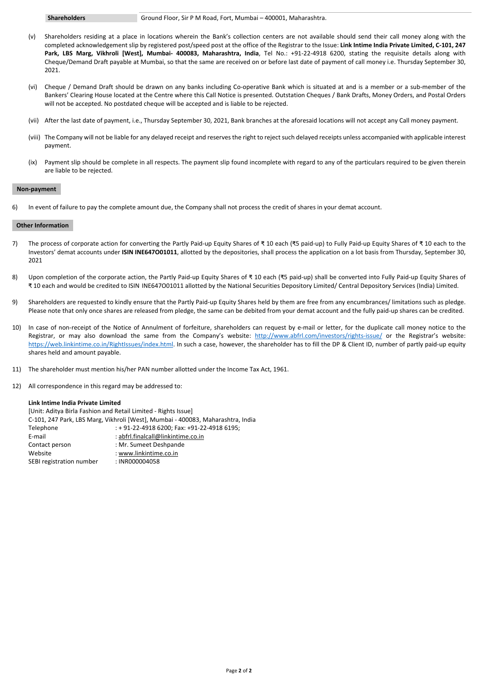#### **Shareholders** Ground Floor, Sir P M Road, Fort, Mumbai – 400001, Maharashtra.

- (v) Shareholders residing at a place in locations wherein the Bank's collection centers are not available should send their call money along with the completed acknowledgement slip by registered post/speed post at the office of the Registrar to the Issue: **Link Intime India Private Limited, C-101, 247 Park, LBS Marg, Vikhroli [West], Mumbai- 400083, Maharashtra, India**, Tel No.: +91-22-4918 6200, stating the requisite details along with Cheque/Demand Draft payable at Mumbai, so that the same are received on or before last date of payment of call money i.e. Thursday September 30, 2021.
- (vi) Cheque / Demand Draft should be drawn on any banks including Co-operative Bank which is situated at and is a member or a sub-member of the Bankers' Clearing House located at the Centre where this Call Notice is presented. Outstation Cheques / Bank Drafts, Money Orders, and Postal Orders will not be accepted. No postdated cheque will be accepted and is liable to be rejected.
- (vii) After the last date of payment, i.e., Thursday September 30, 2021, Bank branches at the aforesaid locations will not accept any Call money payment.
- (viii) The Company will not be liable for any delayed receipt and reserves the right to reject such delayed receipts unless accompanied with applicable interest payment.
- (ix) Payment slip should be complete in all respects. The payment slip found incomplete with regard to any of the particulars required to be given therein are liable to be rejected.

# **Non-payment**

6) In event of failure to pay the complete amount due, the Company shall not process the credit of shares in your demat account.

[Unit: Aditya Birla Fashion and Retail Limited - Rights Issue] C-101, 247 Park, LBS Marg, Vikhroli [West], Mumbai - 400083, Maharashtra, India Telephone : + 91-22-4918 6200; Fax: +91-22-4918 6195; E-mail : abfrl.finalcall@linkintime.co.in Contact person : Mr. Sumeet Deshpande Website : www.linkintime.co.in SEBI registration number : INR000004058

# **Other Information**

- 7) The process of corporate action for converting the Partly Paid-up Equity Shares of ₹ 10 each (₹5 paid-up) to Fully Paid-up Equity Shares of ₹ 10 each to the Investors' demat accounts under **ISIN INE647O01011**, allotted by the depositories, shall process the application on a lot basis from Thursday, September 30, 2021
- 8) Upon completion of the corporate action, the Partly Paid-up Equity Shares of ₹ 10 each (₹5 paid-up) shall be converted into Fully Paid-up Equity Shares of ₹ 10 each and would be credited to ISIN INE647O01011 allotted by the National Securities Depository Limited/ Central Depository Services (India) Limited.
- 9) Shareholders are requested to kindly ensure that the Partly Paid-up Equity Shares held by them are free from any encumbrances/ limitations such as pledge. Please note that only once shares are released from pledge, the same can be debited from your demat account and the fully paid-up shares can be credited.
- 10) In case of non-receipt of the Notice of Annulment of forfeiture, shareholders can request by e-mail or letter, for the duplicate call money notice to the Registrar, or may also download the same from the Company's website: <http://www.abfrl.com/investors/rights-issue/> or the Registrar's website: [https://web.linkintime.co.in/RightIssues/index.html.](https://web.linkintime.co.in/RightIssues/index.html) In such a case, however, the shareholder has to fill the DP & Client ID, number of partly paid-up equity shares held and amount payable.
- 11) The shareholder must mention his/her PAN number allotted under the Income Tax Act, 1961.
- 12) All correspondence in this regard may be addressed to:

#### **Link Intime India Private Limited**